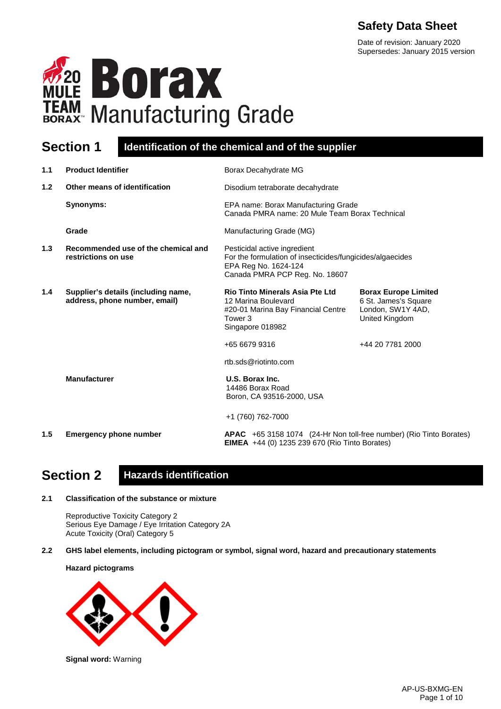# **Safety Data Sheet**

Date of revision: January 2020 Supersedes: January 2015 version



### **Section 1 Identification of the chemical and of the supplier**

| 1.1 | <b>Product Identifier</b>                                            | Borax Decahydrate MG                                                                                                                                |                                                                                            |
|-----|----------------------------------------------------------------------|-----------------------------------------------------------------------------------------------------------------------------------------------------|--------------------------------------------------------------------------------------------|
| 1.2 | Other means of identification                                        | Disodium tetraborate decahydrate                                                                                                                    |                                                                                            |
|     | Synonyms:                                                            | EPA name: Borax Manufacturing Grade<br>Canada PMRA name: 20 Mule Team Borax Technical                                                               |                                                                                            |
|     | Grade                                                                | Manufacturing Grade (MG)                                                                                                                            |                                                                                            |
| 1.3 | Recommended use of the chemical and<br>restrictions on use           | Pesticidal active ingredient<br>For the formulation of insecticides/fungicides/algaecides<br>EPA Reg No. 1624-124<br>Canada PMRA PCP Reg. No. 18607 |                                                                                            |
| 1.4 | Supplier's details (including name,<br>address, phone number, email) | <b>Rio Tinto Minerals Asia Pte Ltd</b><br>12 Marina Boulevard<br>#20-01 Marina Bay Financial Centre<br>Tower 3<br>Singapore 018982                  | <b>Borax Europe Limited</b><br>6 St. James's Square<br>London, SW1Y 4AD,<br>United Kingdom |
|     |                                                                      | +65 6679 9316                                                                                                                                       | +44 20 7781 2000                                                                           |
|     |                                                                      | rtb.sds@riotinto.com                                                                                                                                |                                                                                            |
|     | <b>Manufacturer</b>                                                  | U.S. Borax Inc.<br>14486 Borax Road<br>Boron, CA 93516-2000, USA                                                                                    |                                                                                            |
|     |                                                                      | +1 (760) 762-7000                                                                                                                                   |                                                                                            |
| 1.5 | <b>Emergency phone number</b>                                        | APAC +65 3158 1074 (24-Hr Non toll-free number) (Rio Tinto Borates)<br><b>EIMEA</b> +44 (0) 1235 239 670 (Rio Tinto Borates)                        |                                                                                            |
|     |                                                                      |                                                                                                                                                     |                                                                                            |

# **Section 2 Hazards identification**

#### **2.1 Classification of the substance or mixture**

Reproductive Toxicity Category 2 Serious Eye Damage / Eye Irritation Category 2A Acute Toxicity (Oral) Category 5

**2.2 GHS label elements, including pictogram or symbol, signal word, hazard and precautionary statements** 

**Hazard pictograms**



**Signal word:** Warning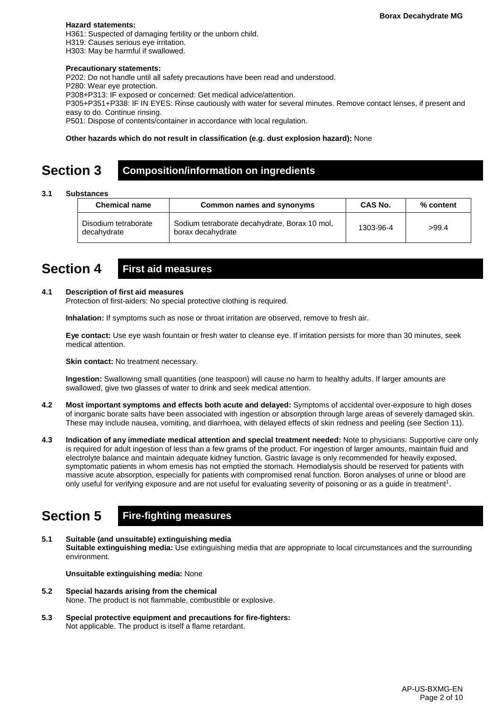#### **Hazard statements:**

H361: Suspected of damaging fertility or the unborn child. H319: Causes serious eye irritation.

H303: May be harmful if swallowed.

#### **Precautionary statements:**

P202: Do not handle until all safety precautions have been read and understood.

P280: Wear eye protection.

P308+P313: IF exposed or concerned: Get medical advice/attention.

P305+P351+P338: IF IN EYES: Rinse cautiously with water for several minutes. Remove contact lenses, if present and easy to do. Continue rinsing.

P501: Dispose of contents/container in accordance with local regulation.

#### **Other hazards which do not result in classification (e.g. dust explosion hazard):** None

### **Section 3 Composition/information on ingredients**

#### **3.1 Substances**

| <b>Chemical name</b>                | Common names and synonyms                                          | <b>CAS No.</b> | % content |
|-------------------------------------|--------------------------------------------------------------------|----------------|-----------|
| Disodium tetraborate<br>decahydrate | Sodium tetraborate decahydrate, Borax 10 mol,<br>borax decahydrate | 1303-96-4      | >99.4     |

### **Section 4 First aid measures**

#### **4.1 Description of first aid measures**

Protection of first-aiders: No special protective clothing is required.

**Inhalation:** If symptoms such as nose or throat irritation are observed, remove to fresh air.

**Eye contact:** Use eye wash fountain or fresh water to cleanse eye. If irritation persists for more than 30 minutes, seek medical attention.

**Skin contact:** No treatment necessary.

**Ingestion:** Swallowing small quantities (one teaspoon) will cause no harm to healthy adults. If larger amounts are swallowed, give two glasses of water to drink and seek medical attention.

- **4.2 Most important symptoms and effects both acute and delayed:** Symptoms of accidental over-exposure to high doses of inorganic borate salts have been associated with ingestion or absorption through large areas of severely damaged skin. These may include nausea, vomiting, and diarrhoea, with delayed effects of skin redness and peeling (see Section 11).
- **4.3 Indication of any immediate medical attention and special treatment needed:** Note to physicians: Supportive care only is required for adult ingestion of less than a few grams of the product. For ingestion of larger amounts, maintain fluid and electrolyte balance and maintain adequate kidney function. Gastric lavage is only recommended for heavily exposed, symptomatic patients in whom emesis has not emptied the stomach. Hemodialysis should be reserved for patients with massive acute absorption, especially for patients with compromised renal function. Boron analyses of urine or blood are only useful for verifying exposure and are not useful for evaluating severity of poisoning or as a guide in treatment<sup>1</sup>.

# **Section 5 Fire-fighting measures**

**5.1 Suitable (and unsuitable) extinguishing media Suitable extinguishing media:** Use extinguishing media that are appropriate to local circumstances and the surrounding environment.

**Unsuitable extinguishing media:** None

- **5.2 Special hazards arising from the chemical** None. The product is not flammable, combustible or explosive.
- **5.3 Special protective equipment and precautions for fire-fighters:**  Not applicable. The product is itself a flame retardant.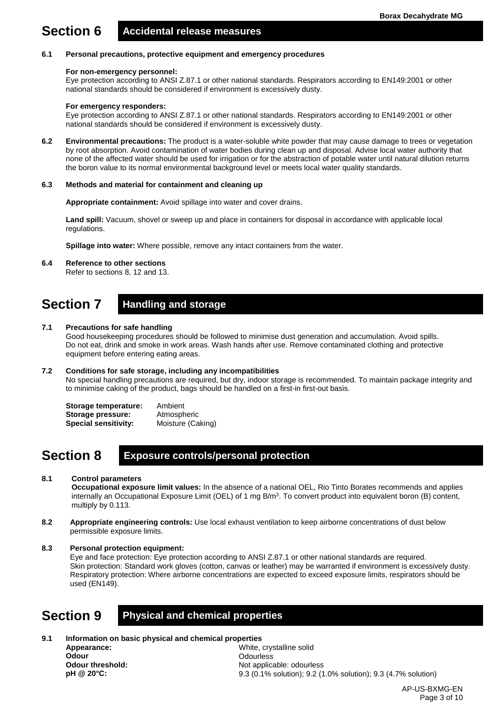# **Section 6 Accidental release measures**

#### **6.1 Personal precautions, protective equipment and emergency procedures**

#### **For non-emergency personnel:**

Eye protection according to ANSI Z.87.1 or other national standards. Respirators according to EN149:2001 or other national standards should be considered if environment is excessively dusty.

#### **For emergency responders:**

Eye protection according to ANSI Z.87.1 or other national standards. Respirators according to EN149:2001 or other national standards should be considered if environment is excessively dusty.

**6.2 Environmental precautions:** The product is a water-soluble white powder that may cause damage to trees or vegetation by root absorption. Avoid contamination of water bodies during clean up and disposal. Advise local water authority that none of the affected water should be used for irrigation or for the abstraction of potable water until natural dilution returns the boron value to its normal environmental background level or meets local water quality standards.

#### **6.3 Methods and material for containment and cleaning up**

**Appropriate containment:** Avoid spillage into water and cover drains.

Land spill: Vacuum, shovel or sweep up and place in containers for disposal in accordance with applicable local regulations.

**Spillage into water:** Where possible, remove any intact containers from the water.

**6.4 Reference to other sections**

Refer to sections 8, 12 and 13.

# **Section 7 Handling and storage**

#### **7.1 Precautions for safe handling**

Good housekeeping procedures should be followed to minimise dust generation and accumulation. Avoid spills. Do not eat, drink and smoke in work areas. Wash hands after use. Remove contaminated clothing and protective equipment before entering eating areas.

#### **7.2 Conditions for safe storage, including any incompatibilities**

No special handling precautions are required, but dry, indoor storage is recommended. To maintain package integrity and to minimise caking of the product, bags should be handled on a first-in first-out basis.

**Storage temperature:** Ambient **Storage pressure:** Atmospheric<br> **Special sensitivity:** Moisture (Caking) **Special sensitivity:** 

### **Section 8 Exposure controls/personal protection**

#### **8.1 Control parameters**

**Occupational exposure limit values:** In the absence of a national OEL, Rio Tinto Borates recommends and applies internally an Occupational Exposure Limit (OEL) of 1 mg  $B/m<sup>3</sup>$ . To convert product into equivalent boron (B) content, multiply by 0.113.

- **8.2 Appropriate engineering controls:** Use local exhaust ventilation to keep airborne concentrations of dust below permissible exposure limits.
- **8.3 Personal protection equipment:**

Eye and face protection: Eye protection according to ANSI Z.87.1 or other national standards are required. Skin protection: Standard work gloves (cotton, canvas or leather) may be warranted if environment is excessively dusty. Respiratory protection: Where airborne concentrations are expected to exceed exposure limits, respirators should be used (EN149).

### **Section 9 Physical and chemical properties**

**9.1 Information on basic physical and chemical properties Appearance:**

**Odour Odour threshold: pH @ 20°C:**

White, crystalline solid **Odourless** Not applicable: odourless 9.3 (0.1% solution); 9.2 (1.0% solution); 9.3 (4.7% solution)

> AP-US-BXMG-EN Page 3 of 10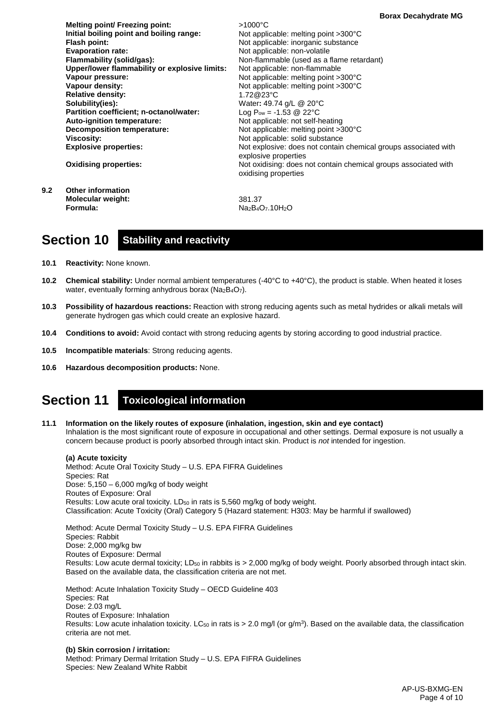**Melting point/ Freezing point: Initial boiling point and boiling range: Flash point: Evaporation rate: Flammability (solid/gas): Upper/lower flammability or explosive limits: Vapour pressure: Vapour density: Relative density: Solubility(ies): Partition coefficient; n-octanol/water: Auto-ignition temperature: Decomposition temperature: Viscosity: Explosive properties: Oxidising properties:** >1000°C Not applicable: melting point >300°C Not applicable: inorganic substance Not applicable: non-volatile Non-flammable (used as a flame retardant) Not applicable: non-flammable Not applicable: melting point >300°C Not applicable: melting point >300°C 1.72@23°C Water**:** 49.74 g/L @ 20°C Log  $P_{ow} = -1.53 \ @ \ 22^{\circ}C$ Not applicable: not self-heating Not applicable: melting point >300°C Not applicable: solid substance Not explosive: does not contain chemical groups associated with explosive properties Not oxidising: does not contain chemical groups associated with oxidising properties **9.2 Other information Molecular weight:** 381.37

Na<sub>2</sub>B<sub>4</sub>O<sub>7</sub>.10H<sub>2</sub>O

### **Section 10 Stability and reactivity**

**10.1 Reactivity:** None known.

**Formula:**

- **10.2 Chemical stability:** Under normal ambient temperatures (-40°C to +40°C), the product is stable. When heated it loses water, eventually forming anhydrous borax (Na2B4O7).
- **10.3 Possibility of hazardous reactions:** Reaction with strong reducing agents such as metal hydrides or alkali metals will generate hydrogen gas which could create an explosive hazard.
- **10.4 Conditions to avoid:** Avoid contact with strong reducing agents by storing according to good industrial practice.
- **10.5 Incompatible materials**: Strong reducing agents.
- **10.6 Hazardous decomposition products:** None.

### **Section 11 Toxicological information**

**11.1 Information on the likely routes of exposure (inhalation, ingestion, skin and eye contact)** Inhalation is the most significant route of exposure in occupational and other settings. Dermal exposure is not usually a concern because product is poorly absorbed through intact skin. Product is *not* intended for ingestion.

**(a) Acute toxicity** Method: Acute Oral Toxicity Study – U.S. EPA FIFRA Guidelines Species: Rat Dose:  $5,150 - 6,000$  mg/kg of body weight Routes of Exposure: Oral Results: Low acute oral toxicity. LD<sub>50</sub> in rats is 5,560 mg/kg of body weight. Classification: Acute Toxicity (Oral) Category 5 (Hazard statement: H303: May be harmful if swallowed)

Method: Acute Dermal Toxicity Study – U.S. EPA FIFRA Guidelines Species: Rabbit Dose: 2,000 mg/kg bw Routes of Exposure: Dermal Results: Low acute dermal toxicity; LD<sub>50</sub> in rabbits is > 2,000 mg/kg of body weight. Poorly absorbed through intact skin. Based on the available data, the classification criteria are not met.

Method: Acute Inhalation Toxicity Study – OECD Guideline 403 Species: Rat Dose: 2.03 mg/L Routes of Exposure: Inhalation Results: Low acute inhalation toxicity. LC<sub>50</sub> in rats is  $> 2.0$  mg/l (or g/m<sup>3</sup>). Based on the available data, the classification criteria are not met.

**(b) Skin corrosion / irritation:** Method: Primary Dermal Irritation Study – U.S. EPA FIFRA Guidelines Species: New Zealand White Rabbit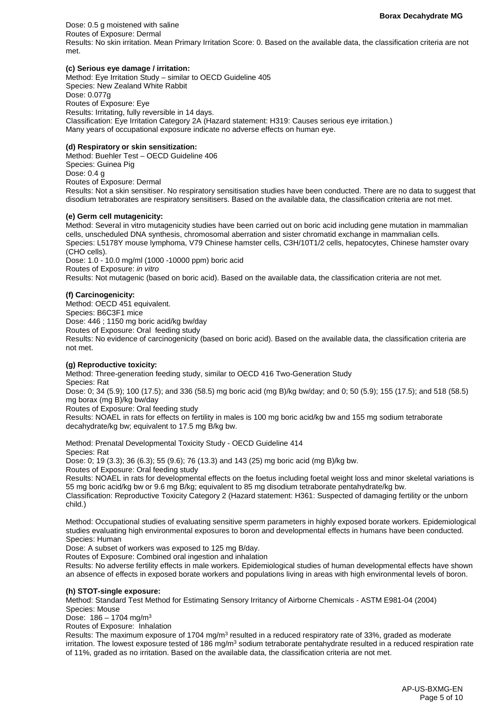Dose: 0.5 g moistened with saline Routes of Exposure: Dermal Results: No skin irritation. Mean Primary Irritation Score: 0. Based on the available data, the classification criteria are not met.

#### **(c) Serious eye damage / irritation:**

Method: Eye Irritation Study – similar to OECD Guideline 405 Species: New Zealand White Rabbit Dose: 0.077g Routes of Exposure: Eye Results: Irritating, fully reversible in 14 days. Classification: Eye Irritation Category 2A (Hazard statement: H319: Causes serious eye irritation.) Many years of occupational exposure indicate no adverse effects on human eye.

#### **(d) Respiratory or skin sensitization:**

Method: Buehler Test – OECD Guideline 406 Species: Guinea Pig Dose: 0.4 g Routes of Exposure: Dermal Results: Not a skin sensitiser. No respiratory sensitisation studies have been conducted. There are no data to suggest that disodium tetraborates are respiratory sensitisers. Based on the available data, the classification criteria are not met.

#### **(e) Germ cell mutagenicity:**

Method: Several in vitro mutagenicity studies have been carried out on boric acid including gene mutation in mammalian cells, unscheduled DNA synthesis, chromosomal aberration and sister chromatid exchange in mammalian cells. Species: L5178Y mouse lymphoma, V79 Chinese hamster cells, C3H/10T1/2 cells, hepatocytes, Chinese hamster ovary (CHO cells).

Dose: 1.0 - 10.0 mg/ml (1000 -10000 ppm) boric acid Routes of Exposure: *in vitro* Results: Not mutagenic (based on boric acid). Based on the available data, the classification criteria are not met.

#### **(f) Carcinogenicity:**

Method: OECD 451 equivalent. Species: B6C3F1 mice Dose: 446 ; 1150 mg boric acid/kg bw/day Routes of Exposure: Oral feeding study Results: No evidence of carcinogenicity (based on boric acid). Based on the available data, the classification criteria are not met.

#### **(g) Reproductive toxicity:**

Method: Three-generation feeding study, similar to OECD 416 Two-Generation Study Species: Rat

Dose: 0; 34 (5.9); 100 (17.5); and 336 (58.5) mg boric acid (mg B)/kg bw/day; and 0; 50 (5.9); 155 (17.5); and 518 (58.5) mg borax (mg B)/kg bw/day

Routes of Exposure: Oral feeding study

Results: NOAEL in rats for effects on fertility in males is 100 mg boric acid/kg bw and 155 mg sodium tetraborate decahydrate/kg bw; equivalent to 17.5 mg B/kg bw.

Method: Prenatal Developmental Toxicity Study - OECD Guideline 414 Species: Rat Dose: 0; 19 (3.3); 36 (6.3); 55 (9.6); 76 (13.3) and 143 (25) mg boric acid (mg B)/kg bw.

Routes of Exposure: Oral feeding study

Results: NOAEL in rats for developmental effects on the foetus including foetal weight loss and minor skeletal variations is 55 mg boric acid/kg bw or 9.6 mg B/kg; equivalent to 85 mg disodium tetraborate pentahydrate/kg bw.

Classification: Reproductive Toxicity Category 2 (Hazard statement: H361: Suspected of damaging fertility or the unborn child.)

Method: Occupational studies of evaluating sensitive sperm parameters in highly exposed borate workers. Epidemiological studies evaluating high environmental exposures to boron and developmental effects in humans have been conducted. Species: Human

Dose: A subset of workers was exposed to 125 mg B/day.

Routes of Exposure: Combined oral ingestion and inhalation

Results: No adverse fertility effects in male workers. Epidemiological studies of human developmental effects have shown an absence of effects in exposed borate workers and populations living in areas with high environmental levels of boron.

#### **(h) STOT-single exposure:**

Method: Standard Test Method for Estimating Sensory Irritancy of Airborne Chemicals - ASTM E981-04 (2004) Species: Mouse

Dose:  $186 - 1704$  mg/m<sup>3</sup>

Routes of Exposure: Inhalation

Results: The maximum exposure of 1704 mg/m<sup>3</sup> resulted in a reduced respiratory rate of 33%, graded as moderate irritation. The lowest exposure tested of 186 mg/m<sup>3</sup> sodium tetraborate pentahydrate resulted in a reduced respiration rate of 11%, graded as no irritation. Based on the available data, the classification criteria are not met.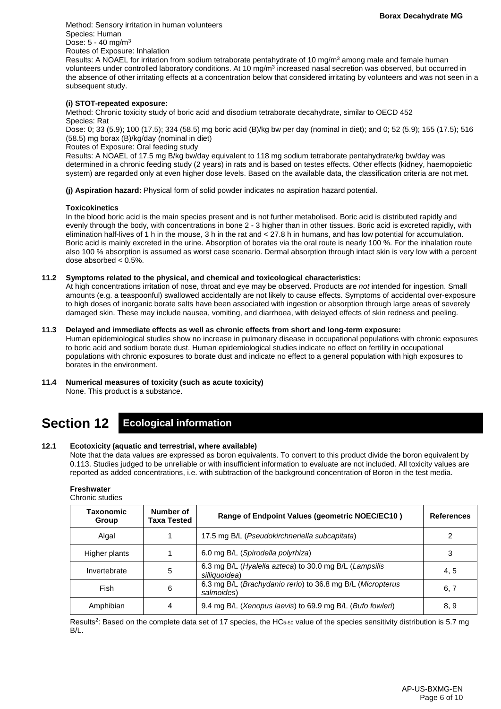Method: Sensory irritation in human volunteers Species: Human Dose:  $5 - 40$  mg/m<sup>3</sup> Routes of Exposure: Inhalation

Results: A NOAEL for irritation from sodium tetraborate pentahydrate of 10 mg/m<sup>3</sup> among male and female human volunteers under controlled laboratory conditions. At 10 mg/m<sup>3</sup> increased nasal secretion was observed, but occurred in the absence of other irritating effects at a concentration below that considered irritating by volunteers and was not seen in a subsequent study.

#### **(i) STOT-repeated exposure:**

Method: Chronic toxicity study of boric acid and disodium tetraborate decahydrate, similar to OECD 452 Species: Rat

Dose: 0; 33 (5.9); 100 (17.5); 334 (58.5) mg boric acid (B)/kg bw per day (nominal in diet); and 0; 52 (5.9); 155 (17.5); 516 (58.5) mg borax (B)/kg/day (nominal in diet)

Routes of Exposure: Oral feeding study

Results: A NOAEL of 17.5 mg B/kg bw/day equivalent to 118 mg sodium tetraborate pentahydrate/kg bw/day was determined in a chronic feeding study (2 years) in rats and is based on testes effects. Other effects (kidney, haemopoietic system) are regarded only at even higher dose levels. Based on the available data, the classification criteria are not met.

**(j) Aspiration hazard:** Physical form of solid powder indicates no aspiration hazard potential.

#### **Toxicokinetics**

In the blood boric acid is the main species present and is not further metabolised. Boric acid is distributed rapidly and evenly through the body, with concentrations in bone 2 - 3 higher than in other tissues. Boric acid is excreted rapidly, with elimination half-lives of 1 h in the mouse, 3 h in the rat and < 27.8 h in humans, and has low potential for accumulation. Boric acid is mainly excreted in the urine. Absorption of borates via the oral route is nearly 100 %. For the inhalation route also 100 % absorption is assumed as worst case scenario. Dermal absorption through intact skin is very low with a percent dose absorbed < 0.5%.

#### **11.2 Symptoms related to the physical, and chemical and toxicological characteristics:**

At high concentrations irritation of nose, throat and eye may be observed. Products are *not* intended for ingestion. Small amounts (e.g. a teaspoonful) swallowed accidentally are not likely to cause effects. Symptoms of accidental over-exposure to high doses of inorganic borate salts have been associated with ingestion or absorption through large areas of severely damaged skin. These may include nausea, vomiting, and diarrhoea, with delayed effects of skin redness and peeling.

#### **11.3 Delayed and immediate effects as well as chronic effects from short and long-term exposure:**

Human epidemiological studies show no increase in pulmonary disease in occupational populations with chronic exposures to boric acid and sodium borate dust. Human epidemiological studies indicate no effect on fertility in occupational populations with chronic exposures to borate dust and indicate no effect to a general population with high exposures to borates in the environment.

**11.4 Numerical measures of toxicity (such as acute toxicity)** None. This product is a substance.

# **Section 12 Ecological information**

#### **12.1 Ecotoxicity (aquatic and terrestrial, where available)**

Note that the data values are expressed as boron equivalents. To convert to this product divide the boron equivalent by 0.113. Studies judged to be unreliable or with insufficient information to evaluate are not included. All toxicity values are reported as added concentrations, i.e. with subtraction of the background concentration of Boron in the test media.

#### **Freshwater** Chronic studies

| <b>UNIUNIU SUUUGS</b> |                          |                                                                          |                   |
|-----------------------|--------------------------|--------------------------------------------------------------------------|-------------------|
| Taxonomic<br>Group    | Number of<br>Taxa Tested | Range of Endpoint Values (geometric NOEC/EC10)                           | <b>References</b> |
| Algal                 |                          | 17.5 mg B/L (Pseudokirchneriella subcapitata)                            |                   |
| Higher plants         |                          | 6.0 mg B/L (Spirodella polyrhiza)                                        | 3                 |
| Invertebrate          | 5                        | 6.3 mg B/L (Hyalella azteca) to 30.0 mg B/L (Lampsilis<br>silliquoidea)  | 4, 5              |
| Fish                  | 6                        | 6.3 mg B/L (Brachydanio rerio) to 36.8 mg B/L (Micropterus<br>salmoides) | 6, 7              |
| Amphibian             | 4                        | 9.4 mg B/L (Xenopus laevis) to 69.9 mg B/L (Bufo fowleri)                | 8, 9              |

Results<sup>2</sup>: Based on the complete data set of 17 species, the HC $_{5-50}$  value of the species sensitivity distribution is 5.7 mg B/L.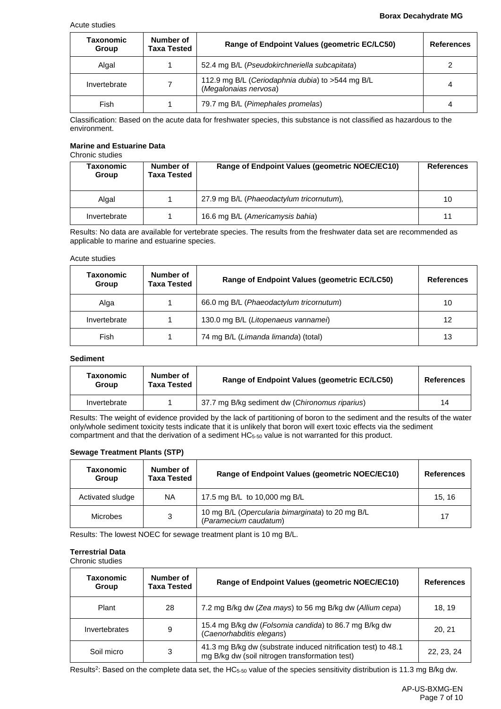#### Acute studies

#### **Borax Decahydrate MG**

| Taxonomic<br>Group | Number of<br>Taxa Tested | Range of Endpoint Values (geometric EC/LC50)                              | <b>References</b> |
|--------------------|--------------------------|---------------------------------------------------------------------------|-------------------|
| Algal              |                          | 52.4 mg B/L (Pseudokirchneriella subcapitata)                             |                   |
| Invertebrate       |                          | 112.9 mg B/L (Ceriodaphnia dubia) to >544 mg B/L<br>(Megalonaias nervosa) | 4                 |
| Fish               |                          | 79.7 mg B/L (Pimephales promelas)                                         | 4                 |

Classification: Based on the acute data for freshwater species, this substance is not classified as hazardous to the environment.

#### **Marine and Estuarine Data** Chronic studies

| Taxonomic<br>Group | Number of<br>Taxa Tested | Range of Endpoint Values (geometric NOEC/EC10) | <b>References</b> |
|--------------------|--------------------------|------------------------------------------------|-------------------|
| Algal              |                          | 27.9 mg B/L (Phaeodactylum tricornutum),       | 10                |
| Invertebrate       |                          | 16.6 mg B/L (Americamysis bahia)               | 11                |

Results: No data are available for vertebrate species. The results from the freshwater data set are recommended as applicable to marine and estuarine species.

#### Acute studies

| Taxonomic<br>Group | Number of<br><b>Taxa Tested</b> | Range of Endpoint Values (geometric EC/LC50) | <b>References</b> |
|--------------------|---------------------------------|----------------------------------------------|-------------------|
| Alga               |                                 | 66.0 mg B/L (Phaeodactylum tricornutum)      | 10                |
| Invertebrate       |                                 | 130.0 mg B/L (Litopenaeus vannamei)          | 12                |
| Fish               |                                 | 74 mg B/L (Limanda limanda) (total)          | 13                |

#### **Sediment**

| Taxonomic<br>Group | Number of<br><b>Taxa Tested</b> | Range of Endpoint Values (geometric EC/LC50)   | References |
|--------------------|---------------------------------|------------------------------------------------|------------|
| Invertebrate       |                                 | 37.7 mg B/kg sediment dw (Chironomus riparius) | 14         |

Results: The weight of evidence provided by the lack of partitioning of boron to the sediment and the results of the water only/whole sediment toxicity tests indicate that it is unlikely that boron will exert toxic effects via the sediment compartment and that the derivation of a sediment HC<sub>5-50</sub> value is not warranted for this product.

#### **Sewage Treatment Plants (STP)**

| Taxonomic<br>Group | Number of<br><b>Taxa Tested</b> | Range of Endpoint Values (geometric NOEC/EC10)                            | <b>References</b> |
|--------------------|---------------------------------|---------------------------------------------------------------------------|-------------------|
| Activated sludge   | <b>NA</b>                       | 17.5 mg B/L to 10,000 mg B/L                                              | 15.16             |
| Microbes           | 3                               | 10 mg B/L (Opercularia bimarginata) to 20 mg B/L<br>(Paramecium caudatum) | 17                |

Results: The lowest NOEC for sewage treatment plant is 10 mg B/L.

#### **Terrestrial Data**

Chronic studies

| Taxonomic<br>Group | Number of<br><b>Taxa Tested</b> | Range of Endpoint Values (geometric NOEC/EC10)                                                                   | <b>References</b> |
|--------------------|---------------------------------|------------------------------------------------------------------------------------------------------------------|-------------------|
| Plant              | 28                              | 7.2 mg B/kg dw (Zea mays) to 56 mg B/kg dw (Allium cepa)                                                         | 18.19             |
| Invertebrates      | 9                               | 15.4 mg B/kg dw (Folsomia candida) to 86.7 mg B/kg dw<br>(Caenorhabditis elegans)                                | 20.21             |
| Soil micro         | 3                               | 41.3 mg B/kg dw (substrate induced nitrification test) to 48.1<br>mg B/kg dw (soil nitrogen transformation test) | 22, 23, 24        |

Results<sup>2</sup>: Based on the complete data set, the HC<sub>5-50</sub> value of the species sensitivity distribution is 11.3 mg B/kg dw.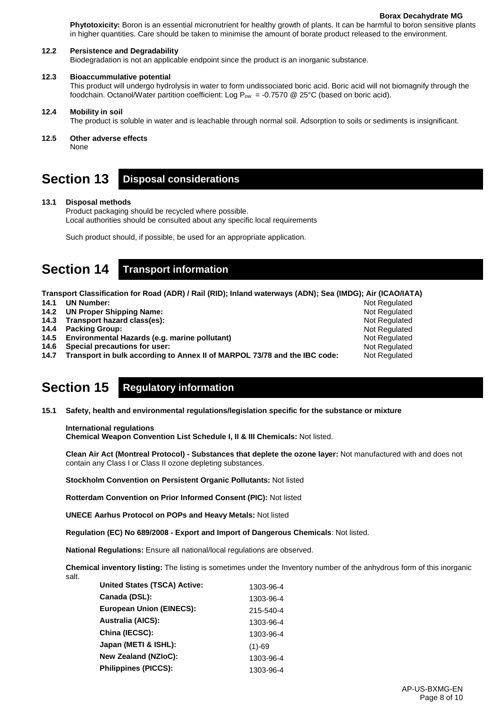Not Regulated Not Regulated Not Regulated Not Regulated Not Regulated Not Regulated Not Regulated

**Phytotoxicity:** Boron is an essential micronutrient for healthy growth of plants. It can be harmful to boron sensitive plants in higher quantities. Care should be taken to minimise the amount of borate product released to the environment.

#### **12.2 Persistence and Degradability**

Biodegradation is not an applicable endpoint since the product is an inorganic substance.

#### **12.3 Bioaccummulative potential**

This product will undergo hydrolysis in water to form undissociated boric acid. Boric acid will not biomagnify through the foodchain. Octanol/Water partition coefficient: Log  $P_{ow} = -0.7570$  @ 25°C (based on boric acid).

#### **12.4 Mobility in soil**

The product is soluble in water and is leachable through normal soil. Adsorption to soils or sediments is insignificant.

#### **12.5 Other adverse effects**

None

# **Section 13 Disposal considerations**

#### **13.1 Disposal methods**

Product packaging should be recycled where possible. Local authorities should be consulted about any specific local requirements

Such product should, if possible, be used for an appropriate application.

### **Section 14 Transport information**

**Transport Classification for Road (ADR) / Rail (RID); Inland waterways (ADN); Sea (IMDG); Air (ICAO/IATA)**

**14.1 UN Number:** 

- **14.2 UN Proper Shipping Name:**
- **14.3 Transport hazard class(es):**
- **14.4 Packing Group:**
- **14.5 Environmental Hazards (e.g. marine pollutant)**
- **14.6 Special precautions for user:**
- **14.7 Transport in bulk according to Annex II of MARPOL 73/78 and the IBC code:**

# **Section 15 Regulatory information**

**15.1 Safety, health and environmental regulations/legislation specific for the substance or mixture**

#### **International regulations**

**Chemical Weapon Convention List Schedule I, II & III Chemicals:** Not listed.

**Clean Air Act (Montreal Protocol) - Substances that deplete the ozone layer:** Not manufactured with and does not contain any Class I or Class II ozone depleting substances.

**Stockholm Convention on Persistent Organic Pollutants:** Not listed

**Rotterdam Convention on Prior Informed Consent (PIC):** Not listed

**UNECE Aarhus Protocol on POPs and Heavy Metals:** Not listed

**Regulation (EC) No 689/2008 - Export and Import of Dangerous Chemicals**: Not listed.

**National Regulations:** Ensure all national/local regulations are observed.

**Chemical inventory listing:** The listing is sometimes under the Inventory number of the anhydrous form of this inorganic salt.

| United States (TSCA) Active:    | 1303-96-4 |
|---------------------------------|-----------|
| Canada (DSL):                   | 1303-96-4 |
| <b>European Union (EINECS):</b> | 215-540-4 |
| <b>Australia (AICS):</b>        | 1303-96-4 |
| China (IECSC):                  | 1303-96-4 |
| Japan (METI & ISHL):            | $(1)-69$  |
| New Zealand (NZIoC):            | 1303-96-4 |
| <b>Philippines (PICCS):</b>     | 1303-96-4 |
|                                 |           |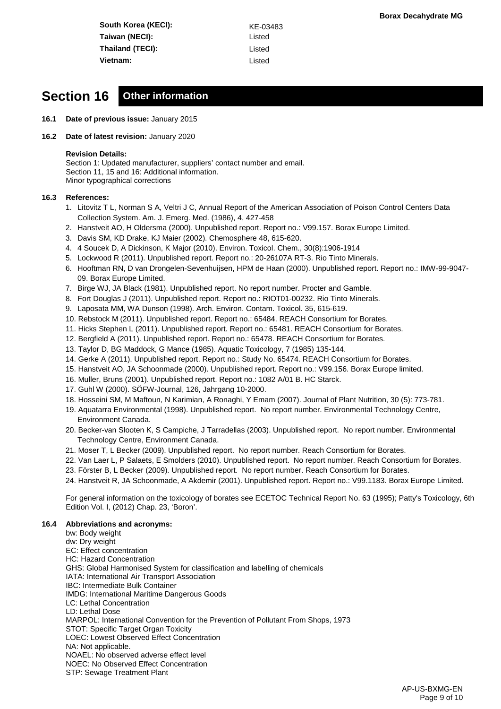**South Korea (KECI):** KE-03483 **Taiwan (NECI):** Listed **Thailand (TECI):** Listed **Vietnam:** Listed

### **Section 16 Other information**

- **16.1 Date of previous issue:** January 2015
- **16.2 Date of latest revision:** January 2020

#### **Revision Details:**

Section 1: Updated manufacturer, suppliers' contact number and email. Section 11, 15 and 16: Additional information. Minor typographical corrections

#### **16.3 References:**

- 1. Litovitz T L, Norman S A, Veltri J C, Annual Report of the American Association of Poison Control Centers Data Collection System. Am. J. Emerg. Med. (1986), 4, 427-458
- 2. Hanstveit AO, H Oldersma (2000). Unpublished report. Report no.: V99.157. Borax Europe Limited.
- 3. Davis SM, KD Drake, KJ Maier (2002). Chemosphere 48, 615-620.
- 4. 4 Soucek D, A Dickinson, K Major (2010). Environ. Toxicol. Chem., 30(8):1906-1914
- 5. Lockwood R (2011). Unpublished report. Report no.: 20-26107A RT-3. Rio Tinto Minerals.
- 6. Hooftman RN, D van Drongelen-Sevenhuijsen, HPM de Haan (2000). Unpublished report. Report no.: IMW-99-9047- 09. Borax Europe Limited.
- 7. Birge WJ, JA Black (1981). Unpublished report. No report number. Procter and Gamble.
- 8. Fort Douglas J (2011). Unpublished report. Report no.: RIOT01-00232. Rio Tinto Minerals.
- 9. Laposata MM, WA Dunson (1998). Arch. Environ. Contam. Toxicol. 35, 615-619.
- 10. Rebstock M (2011). Unpublished report. Report no.: 65484. REACH Consortium for Borates.
- 11. Hicks Stephen L (2011). Unpublished report. Report no.: 65481. REACH Consortium for Borates.
- 12. Bergfield A (2011). Unpublished report. Report no.: 65478. REACH Consortium for Borates.
- 13. Taylor D, BG Maddock, G Mance (1985). Aquatic Toxicology, 7 (1985) 135-144.
- 14. Gerke A (2011). Unpublished report. Report no.: Study No. 65474. REACH Consortium for Borates.
- 15. Hanstveit AO, JA Schoonmade (2000). Unpublished report. Report no.: V99.156. Borax Europe limited.
- 16. Muller, Bruns (2001). Unpublished report. Report no.: 1082 A/01 B. HC Starck.
- 17. Guhl W (2000). SÖFW-Journal, 126, Jahrgang 10-2000.
- 18. Hosseini SM, M Maftoun, N Karimian, A Ronaghi, Y Emam (2007). Journal of Plant Nutrition, 30 (5): 773-781.
- 19. Aquatarra Environmental (1998). Unpublished report. No report number. Environmental Technology Centre, Environment Canada.
- 20. Becker-van Slooten K, S Campiche, J Tarradellas (2003). Unpublished report. No report number. Environmental Technology Centre, Environment Canada.
- 21. Moser T, L Becker (2009). Unpublished report. No report number. Reach Consortium for Borates.
- 22. Van Laer L, P Salaets, E Smolders (2010). Unpublished report. No report number. Reach Consortium for Borates.
- 23. Förster B, L Becker (2009). Unpublished report. No report number. Reach Consortium for Borates.
- 24. Hanstveit R, JA Schoonmade, A Akdemir (2001). Unpublished report. Report no.: V99.1183. Borax Europe Limited.

For general information on the toxicology of borates see ECETOC Technical Report No. 63 (1995); Patty's Toxicology, 6th Edition Vol. I, (2012) Chap. 23, 'Boron'.

#### **16.4 Abbreviations and acronyms:**

bw: Body weight dw: Dry weight EC: Effect concentration HC: Hazard Concentration GHS: Global Harmonised System for classification and labelling of chemicals IATA: International Air Transport Association IBC: Intermediate Bulk Container IMDG: International Maritime Dangerous Goods LC: Lethal Concentration LD: Lethal Dose MARPOL: International Convention for the Prevention of Pollutant From Shops, 1973 STOT: Specific Target Organ Toxicity LOEC: Lowest Observed Effect Concentration NA: Not applicable. NOAEL: No observed adverse effect level NOEC: No Observed Effect Concentration STP: Sewage Treatment Plant